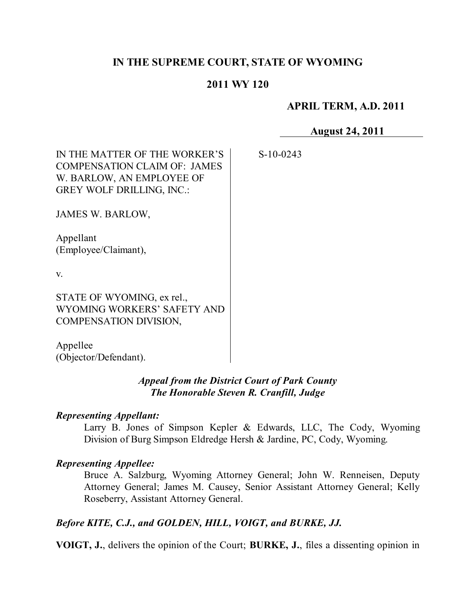# **IN THE SUPREME COURT, STATE OF WYOMING**

## **2011 WY 120**

S-10-0243

### **APRIL TERM, A.D. 2011**

**August 24, 2011**

| IN THE MATTER OF THE WORKER'S<br><b>COMPENSATION CLAIM OF: JAMES</b><br>W. BARLOW, AN EMPLOYEE OF<br>GREY WOLF DRILLING, INC.: |  |
|--------------------------------------------------------------------------------------------------------------------------------|--|
| JAMES W. BARLOW,                                                                                                               |  |
| Appellant<br>(Employee/Claimant),                                                                                              |  |
| V.                                                                                                                             |  |

STATE OF WYOMING, ex rel., WYOMING WORKERS' SAFETY AND COMPENSATION DIVISION,

Appellee (Objector/Defendant).

## *Appeal from the District Court of Park County The Honorable Steven R. Cranfill, Judge*

### *Representing Appellant:*

Larry B. Jones of Simpson Kepler & Edwards, LLC, The Cody, Wyoming Division of Burg Simpson Eldredge Hersh & Jardine, PC, Cody, Wyoming.

### *Representing Appellee:*

Bruce A. Salzburg, Wyoming Attorney General; John W. Renneisen, Deputy Attorney General; James M. Causey, Senior Assistant Attorney General; Kelly Roseberry, Assistant Attorney General.

# *Before KITE, C.J., and GOLDEN, HILL, VOIGT, and BURKE, JJ.*

**VOIGT, J.**, delivers the opinion of the Court; **BURKE, J.**, files a dissenting opinion in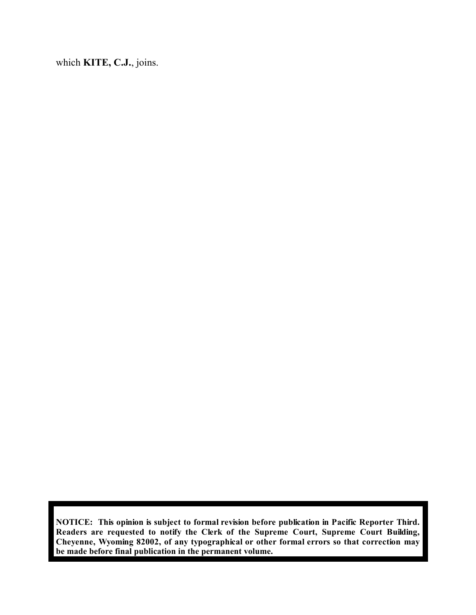which **KITE, C.J.**, joins.

**NOTICE: This opinion is subject to formal revision before publication in Pacific Reporter Third. Readers are requested to notify the Clerk of the Supreme Court, Supreme Court Building, Cheyenne, Wyoming 82002, of any typographical or other formal errors so that correction may be made before final publication in the permanent volume.**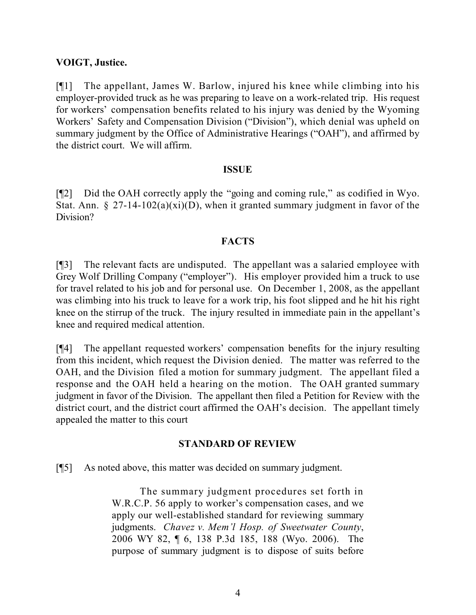## **VOIGT, Justice.**

[¶1] The appellant, James W. Barlow, injured his knee while climbing into his employer-provided truck as he was preparing to leave on a work-related trip. His request for workers' compensation benefits related to his injury was denied by the Wyoming Workers' Safety and Compensation Division ("Division"), which denial was upheld on summary judgment by the Office of Administrative Hearings ("OAH"), and affirmed by the district court. We will affirm.

### **ISSUE**

[¶2] Did the OAH correctly apply the "going and coming rule," as codified in Wyo. Stat. Ann.  $\S 27-14-102(a)(xi)(D)$ , when it granted summary judgment in favor of the Division?

### **FACTS**

[¶3] The relevant facts are undisputed. The appellant was a salaried employee with Grey Wolf Drilling Company ("employer"). His employer provided him a truck to use for travel related to his job and for personal use. On December 1, 2008, as the appellant was climbing into his truck to leave for a work trip, his foot slipped and he hit his right knee on the stirrup of the truck. The injury resulted in immediate pain in the appellant's knee and required medical attention.

[¶4] The appellant requested workers' compensation benefits for the injury resulting from this incident, which request the Division denied. The matter was referred to the OAH, and the Division filed a motion for summary judgment. The appellant filed a response and the OAH held a hearing on the motion. The OAH granted summary judgment in favor of the Division. The appellant then filed a Petition for Review with the district court, and the district court affirmed the OAH's decision. The appellant timely appealed the matter to this court

### **STANDARD OF REVIEW**

[¶5] As noted above, this matter was decided on summary judgment.

The summary judgment procedures set forth in W.R.C.P. 56 apply to worker's compensation cases, and we apply our well-established standard for reviewing summary judgments. *Chavez v. Mem'l Hosp. of Sweetwater County*, 2006 WY 82, ¶ 6, 138 P.3d 185, 188 (Wyo. 2006). The purpose of summary judgment is to dispose of suits before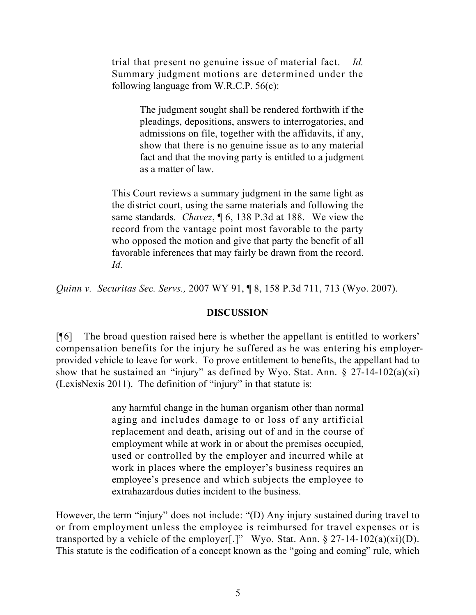trial that present no genuine issue of material fact. *Id.* Summary judgment motions are determined under the following language from W.R.C.P. 56(c):

> The judgment sought shall be rendered forthwith if the pleadings, depositions, answers to interrogatories, and admissions on file, together with the affidavits, if any, show that there is no genuine issue as to any material fact and that the moving party is entitled to a judgment as a matter of law.

This Court reviews a summary judgment in the same light as the district court, using the same materials and following the same standards. *Chavez*, ¶ 6, 138 P.3d at 188. We view the record from the vantage point most favorable to the party who opposed the motion and give that party the benefit of all favorable inferences that may fairly be drawn from the record. *Id.*

*Quinn v. Securitas Sec. Servs.,* 2007 WY 91, ¶ 8, 158 P.3d 711, 713 (Wyo. 2007).

#### **DISCUSSION**

[¶6] The broad question raised here is whether the appellant is entitled to workers' compensation benefits for the injury he suffered as he was entering his employerprovided vehicle to leave for work. To prove entitlement to benefits, the appellant had to show that he sustained an "injury" as defined by Wyo. Stat. Ann.  $\S$  27-14-102(a)(xi) (LexisNexis 2011). The definition of "injury" in that statute is:

> any harmful change in the human organism other than normal aging and includes damage to or loss of any artificial replacement and death, arising out of and in the course of employment while at work in or about the premises occupied, used or controlled by the employer and incurred while at work in places where the employer's business requires an employee's presence and which subjects the employee to extrahazardous duties incident to the business.

However, the term "injury" does not include: "(D) Any injury sustained during travel to or from employment unless the employee is reimbursed for travel expenses or is transported by a vehicle of the employer[.]" Wyo. Stat. Ann.  $\S 27-14-102(a)(xi)(D)$ . This statute is the codification of a concept known as the "going and coming" rule, which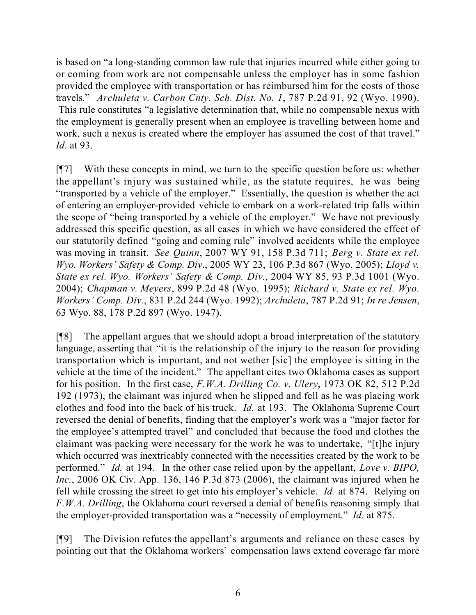is based on "a long-standing common law rule that injuries incurred while either going to or coming from work are not compensable unless the employer has in some fashion provided the employee with transportation or has reimbursed him for the costs of those travels." *Archuleta v. Carbon Cnty. Sch. Dist. No. 1*, 787 P.2d 91, 92 (Wyo. 1990). This rule constitutes "a legislative determination that, while no compensable nexus with the employment is generally present when an employee is travelling between home and work, such a nexus is created where the employer has assumed the cost of that travel." *Id.* at 93.

[¶7] With these concepts in mind, we turn to the specific question before us: whether the appellant's injury was sustained while, as the statute requires, he was being "transported by a vehicle of the employer." Essentially, the question is whether the act of entering an employer-provided vehicle to embark on a work-related trip falls within the scope of "being transported by a vehicle of the employer." We have not previously addressed this specific question, as all cases in which we have considered the effect of our statutorily defined "going and coming rule" involved accidents while the employee was moving in transit. *See Quinn*, 2007 WY 91, 158 P.3d 711; *Berg v. State ex rel. Wyo. Workers' Safety & Comp. Div*., 2005 WY 23, 106 P.3d 867 (Wyo. 2005); *Lloyd v. State ex rel. Wyo. Workers' Safety & Comp. Div.*, 2004 WY 85, 93 P.3d 1001 (Wyo. 2004); *Chapman v. Meyers*, 899 P.2d 48 (Wyo. 1995); *Richard v. State ex rel. Wyo. Workers' Comp. Div.*, 831 P.2d 244 (Wyo. 1992); *Archuleta*, 787 P.2d 91; *In re Jensen*, 63 Wyo. 88, 178 P.2d 897 (Wyo. 1947).

[¶8] The appellant argues that we should adopt a broad interpretation of the statutory language, asserting that "it is the relationship of the injury to the reason for providing transportation which is important, and not wether [sic] the employee is sitting in the vehicle at the time of the incident." The appellant cites two Oklahoma cases as support for his position. In the first case, *F.W.A. Drilling Co. v. Ulery*, 1973 OK 82, 512 P.2d 192 (1973), the claimant was injured when he slipped and fell as he was placing work clothes and food into the back of his truck. *Id.* at 193. The Oklahoma Supreme Court reversed the denial of benefits, finding that the employer's work was a "major factor for the employee's attempted travel" and concluded that because the food and clothes the claimant was packing were necessary for the work he was to undertake, "[t]he injury which occurred was inextricably connected with the necessities created by the work to be performed." *Id.* at 194. In the other case relied upon by the appellant, *Love v. BIPO, Inc.*, 2006 OK Civ. App. 136, 146 P.3d 873 (2006), the claimant was injured when he fell while crossing the street to get into his employer's vehicle. *Id.* at 874. Relying on *F.W.A. Drilling*, the Oklahoma court reversed a denial of benefits reasoning simply that the employer-provided transportation was a "necessity of employment." *Id.* at 875.

[¶9] The Division refutes the appellant's arguments and reliance on these cases by pointing out that the Oklahoma workers' compensation laws extend coverage far more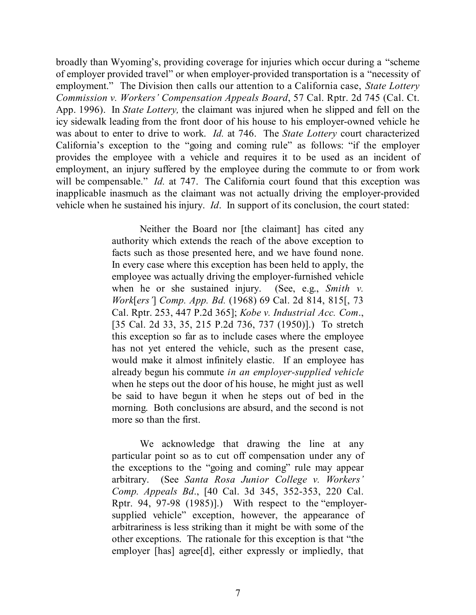broadly than Wyoming's, providing coverage for injuries which occur during a "scheme of employer provided travel" or when employer-provided transportation is a "necessity of employment." The Division then calls our attention to a California case, *State Lottery Commission v. Workers' Compensation Appeals Board*, 57 Cal. Rptr. 2d 745 (Cal. Ct. App. 1996). In *State Lottery,* the claimant was injured when he slipped and fell on the icy sidewalk leading from the front door of his house to his employer-owned vehicle he was about to enter to drive to work. *Id.* at 746. The *State Lottery* court characterized California's exception to the "going and coming rule" as follows: "if the employer provides the employee with a vehicle and requires it to be used as an incident of employment, an injury suffered by the employee during the commute to or from work will be compensable." *Id.* at 747. The California court found that this exception was inapplicable inasmuch as the claimant was not actually driving the employer-provided vehicle when he sustained his injury. *Id*. In support of its conclusion, the court stated:

> Neither the Board nor [the claimant] has cited any authority which extends the reach of the above exception to facts such as those presented here, and we have found none. In every case where this exception has been held to apply, the employee was actually driving the employer-furnished vehicle when he or she sustained injury. (See, e.g., *Smith v. Work*[*ers'*] *Comp. App. Bd.* (1968) 69 Cal. 2d 814, 815[, 73 Cal. Rptr. 253, 447 P.2d 365]; *Kobe v. Industrial Acc. Com*., [35 Cal. 2d 33, 35, 215 P.2d 736, 737 (1950)].) To stretch this exception so far as to include cases where the employee has not yet entered the vehicle, such as the present case, would make it almost infinitely elastic. If an employee has already begun his commute *in an employer-supplied vehicle* when he steps out the door of his house, he might just as well be said to have begun it when he steps out of bed in the morning. Both conclusions are absurd, and the second is not more so than the first.

> We acknowledge that drawing the line at any particular point so as to cut off compensation under any of the exceptions to the "going and coming" rule may appear arbitrary. (See *Santa Rosa Junior College v. Workers' Comp. Appeals Bd*., [40 Cal. 3d 345, 352-353, 220 Cal. Rptr. 94, 97-98 (1985)].) With respect to the "employersupplied vehicle" exception, however, the appearance of arbitrariness is less striking than it might be with some of the other exceptions. The rationale for this exception is that "the employer [has] agree[d], either expressly or impliedly, that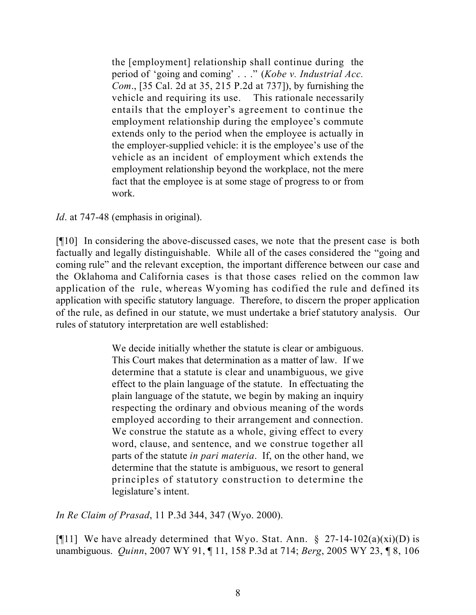the [employment] relationship shall continue during the period of 'going and coming' . . ." (*Kobe v. Industrial Acc. Com*., [35 Cal. 2d at 35, 215 P.2d at 737]), by furnishing the vehicle and requiring its use. This rationale necessarily entails that the employer's agreement to continue the employment relationship during the employee's commute extends only to the period when the employee is actually in the employer-supplied vehicle: it is the employee's use of the vehicle as an incident of employment which extends the employment relationship beyond the workplace, not the mere fact that the employee is at some stage of progress to or from work.

*Id*. at 747-48 (emphasis in original).

[¶10] In considering the above-discussed cases, we note that the present case is both factually and legally distinguishable. While all of the cases considered the "going and coming rule" and the relevant exception, the important difference between our case and the Oklahoma and California cases is that those cases relied on the common law application of the rule, whereas Wyoming has codified the rule and defined its application with specific statutory language. Therefore, to discern the proper application of the rule, as defined in our statute, we must undertake a brief statutory analysis. Our rules of statutory interpretation are well established:

> We decide initially whether the statute is clear or ambiguous. This Court makes that determination as a matter of law. If we determine that a statute is clear and unambiguous, we give effect to the plain language of the statute. In effectuating the plain language of the statute, we begin by making an inquiry respecting the ordinary and obvious meaning of the words employed according to their arrangement and connection. We construe the statute as a whole, giving effect to every word, clause, and sentence, and we construe together all parts of the statute *in pari materia*. If, on the other hand, we determine that the statute is ambiguous, we resort to general principles of statutory construction to determine the legislature's intent.

*In Re Claim of Prasad*, 11 P.3d 344, 347 (Wyo. 2000).

[ $[$ [11] We have already determined that Wyo. Stat. Ann. § 27-14-102(a)(xi)(D) is unambiguous. *Quinn*, 2007 WY 91, ¶ 11, 158 P.3d at 714; *Berg*, 2005 WY 23, ¶ 8, 106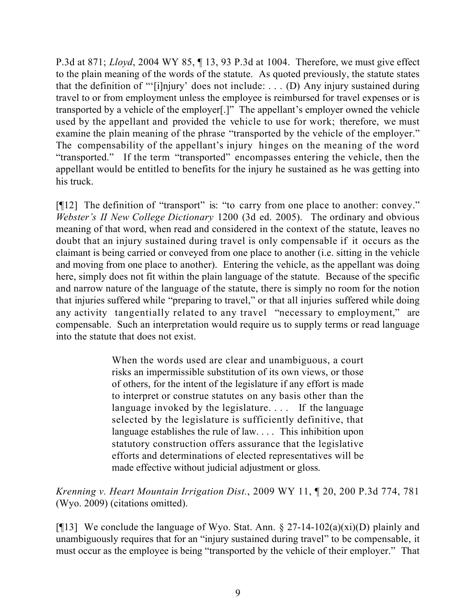P.3d at 871; *Lloyd*, 2004 WY 85, ¶ 13, 93 P.3d at 1004. Therefore, we must give effect to the plain meaning of the words of the statute. As quoted previously, the statute states that the definition of "'[i]njury' does not include: . . . (D) Any injury sustained during travel to or from employment unless the employee is reimbursed for travel expenses or is transported by a vehicle of the employer[.]" The appellant's employer owned the vehicle used by the appellant and provided the vehicle to use for work; therefore, we must examine the plain meaning of the phrase "transported by the vehicle of the employer." The compensability of the appellant's injury hinges on the meaning of the word "transported." If the term "transported" encompasses entering the vehicle, then the appellant would be entitled to benefits for the injury he sustained as he was getting into his truck.

[¶12] The definition of "transport" is: "to carry from one place to another: convey." *Webster's II New College Dictionary* 1200 (3d ed. 2005). The ordinary and obvious meaning of that word, when read and considered in the context of the statute, leaves no doubt that an injury sustained during travel is only compensable if it occurs as the claimant is being carried or conveyed from one place to another (i.e. sitting in the vehicle and moving from one place to another). Entering the vehicle, as the appellant was doing here, simply does not fit within the plain language of the statute. Because of the specific and narrow nature of the language of the statute, there is simply no room for the notion that injuries suffered while "preparing to travel," or that all injuries suffered while doing any activity tangentially related to any travel "necessary to employment," are compensable. Such an interpretation would require us to supply terms or read language into the statute that does not exist.

> When the words used are clear and unambiguous, a court risks an impermissible substitution of its own views, or those of others, for the intent of the legislature if any effort is made to interpret or construe statutes on any basis other than the language invoked by the legislature.... If the language selected by the legislature is sufficiently definitive, that language establishes the rule of law. . . . This inhibition upon statutory construction offers assurance that the legislative efforts and determinations of elected representatives will be made effective without judicial adjustment or gloss.

*Krenning v. Heart Mountain Irrigation Dist.*, 2009 WY 11, ¶ 20, 200 P.3d 774, 781 (Wyo. 2009) (citations omitted).

[¶13] We conclude the language of Wyo. Stat. Ann.  $\S 27$ -14-102(a)(xi)(D) plainly and unambiguously requires that for an "injury sustained during travel" to be compensable, it must occur as the employee is being "transported by the vehicle of their employer." That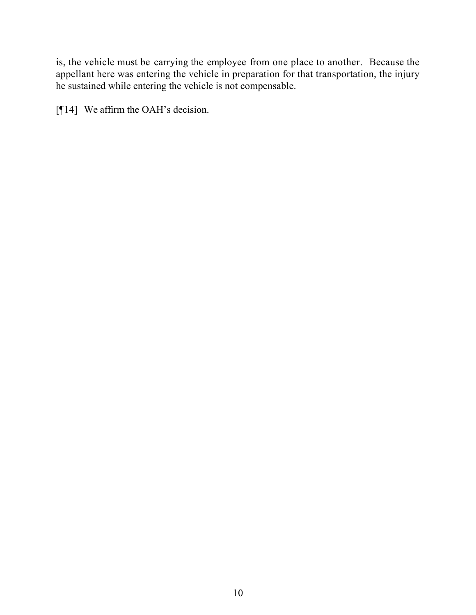is, the vehicle must be carrying the employee from one place to another. Because the appellant here was entering the vehicle in preparation for that transportation, the injury he sustained while entering the vehicle is not compensable.

[¶14] We affirm the OAH's decision.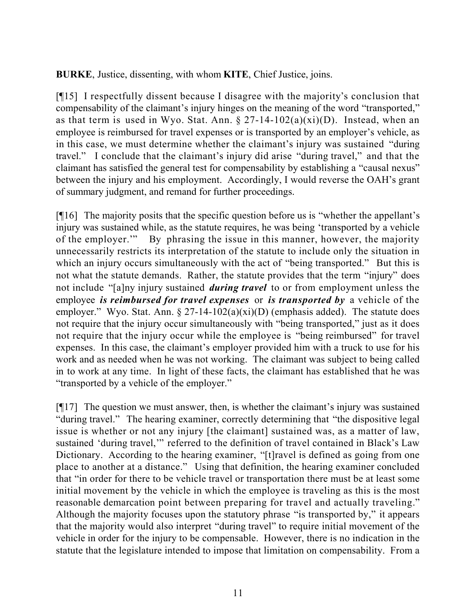**BURKE**, Justice, dissenting, with whom **KITE**, Chief Justice, joins.

[¶15] I respectfully dissent because I disagree with the majority's conclusion that compensability of the claimant's injury hinges on the meaning of the word "transported," as that term is used in Wyo. Stat. Ann.  $\S 27-14-102(a)(xi)(D)$ . Instead, when an employee is reimbursed for travel expenses or is transported by an employer's vehicle, as in this case, we must determine whether the claimant's injury was sustained "during travel." I conclude that the claimant's injury did arise "during travel," and that the claimant has satisfied the general test for compensability by establishing a "causal nexus" between the injury and his employment. Accordingly, I would reverse the OAH's grant of summary judgment, and remand for further proceedings.

[¶16] The majority posits that the specific question before us is "whether the appellant's injury was sustained while, as the statute requires, he was being 'transported by a vehicle of the employer.'" By phrasing the issue in this manner, however, the majority unnecessarily restricts its interpretation of the statute to include only the situation in which an injury occurs simultaneously with the act of "being transported." But this is not what the statute demands. Rather, the statute provides that the term "injury" does not include "[a]ny injury sustained *during travel* to or from employment unless the employee *is reimbursed for travel expenses* or *is transported by* a vehicle of the employer." Wyo. Stat. Ann.  $\S 27-14-102(a)(xi)(D)$  (emphasis added). The statute does not require that the injury occur simultaneously with "being transported," just as it does not require that the injury occur while the employee is "being reimbursed" for travel expenses. In this case, the claimant's employer provided him with a truck to use for his work and as needed when he was not working. The claimant was subject to being called in to work at any time. In light of these facts, the claimant has established that he was "transported by a vehicle of the employer."

 $[\n{\text{m}}\,17]$  The question we must answer, then, is whether the claimant's injury was sustained "during travel." The hearing examiner, correctly determining that "the dispositive legal issue is whether or not any injury [the claimant] sustained was, as a matter of law, sustained 'during travel,'" referred to the definition of travel contained in Black's Law Dictionary. According to the hearing examiner, "[t]ravel is defined as going from one place to another at a distance." Using that definition, the hearing examiner concluded that "in order for there to be vehicle travel or transportation there must be at least some initial movement by the vehicle in which the employee is traveling as this is the most reasonable demarcation point between preparing for travel and actually traveling." Although the majority focuses upon the statutory phrase "is transported by," it appears that the majority would also interpret "during travel" to require initial movement of the vehicle in order for the injury to be compensable. However, there is no indication in the statute that the legislature intended to impose that limitation on compensability. From a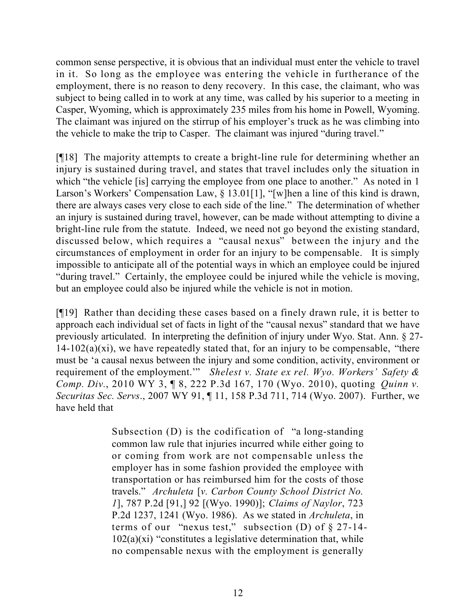common sense perspective, it is obvious that an individual must enter the vehicle to travel in it. So long as the employee was entering the vehicle in furtherance of the employment, there is no reason to deny recovery. In this case, the claimant, who was subject to being called in to work at any time, was called by his superior to a meeting in Casper, Wyoming, which is approximately 235 miles from his home in Powell, Wyoming. The claimant was injured on the stirrup of his employer's truck as he was climbing into the vehicle to make the trip to Casper. The claimant was injured "during travel."

[¶18] The majority attempts to create a bright-line rule for determining whether an injury is sustained during travel, and states that travel includes only the situation in which "the vehicle [is] carrying the employee from one place to another." As noted in 1 Larson's Workers' Compensation Law, § 13.01[1], "[w]hen a line of this kind is drawn, there are always cases very close to each side of the line." The determination of whether an injury is sustained during travel, however, can be made without attempting to divine a bright-line rule from the statute. Indeed, we need not go beyond the existing standard, discussed below, which requires a "causal nexus" between the injury and the circumstances of employment in order for an injury to be compensable. It is simply impossible to anticipate all of the potential ways in which an employee could be injured "during travel." Certainly, the employee could be injured while the vehicle is moving, but an employee could also be injured while the vehicle is not in motion.

[¶19] Rather than deciding these cases based on a finely drawn rule, it is better to approach each individual set of facts in light of the "causal nexus" standard that we have previously articulated. In interpreting the definition of injury under Wyo. Stat. Ann. § 27-  $14-102(a)(xi)$ , we have repeatedly stated that, for an injury to be compensable, "there must be 'a causal nexus between the injury and some condition, activity, environment or requirement of the employment.'" *Shelest v. State ex rel. Wyo. Workers' Safety & Comp. Div.*, 2010 WY 3, ¶ 8, 222 P.3d 167, 170 (Wyo. 2010), quoting *Quinn v. Securitas Sec. Servs*., 2007 WY 91, ¶ 11, 158 P.3d 711, 714 (Wyo. 2007). Further, we have held that

> Subsection (D) is the codification of "a long-standing common law rule that injuries incurred while either going to or coming from work are not compensable unless the employer has in some fashion provided the employee with transportation or has reimbursed him for the costs of those travels." *Archuleta* [*v. Carbon County School District No. 1*], 787 P.2d [91,] 92 [(Wyo. 1990)]; *Claims of Naylor*, 723 P.2d 1237, 1241 (Wyo. 1986). As we stated in *Archuleta*, in terms of our "nexus test," subsection (D) of § 27-14-  $102(a)(xi)$  "constitutes a legislative determination that, while no compensable nexus with the employment is generally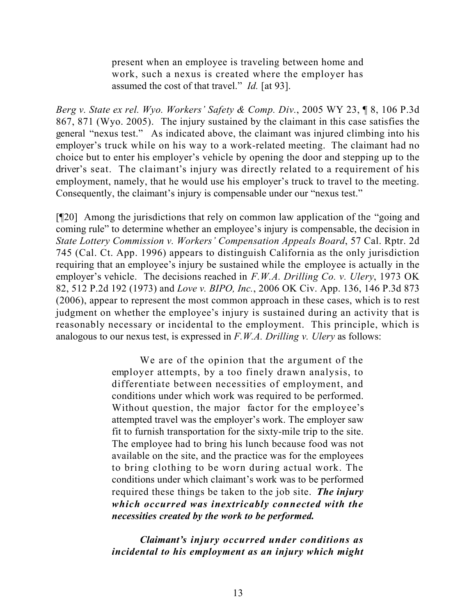present when an employee is traveling between home and work, such a nexus is created where the employer has assumed the cost of that travel." *Id.* [at 93].

*Berg v. State ex rel. Wyo. Workers' Safety & Comp. Div.*, 2005 WY 23, ¶ 8, 106 P.3d 867, 871 (Wyo. 2005). The injury sustained by the claimant in this case satisfies the general "nexus test." As indicated above, the claimant was injured climbing into his employer's truck while on his way to a work-related meeting. The claimant had no choice but to enter his employer's vehicle by opening the door and stepping up to the driver's seat. The claimant's injury was directly related to a requirement of his employment, namely, that he would use his employer's truck to travel to the meeting. Consequently, the claimant's injury is compensable under our "nexus test."

[¶20] Among the jurisdictions that rely on common law application of the "going and coming rule" to determine whether an employee's injury is compensable, the decision in *State Lottery Commission v. Workers' Compensation Appeals Board*, 57 Cal. Rptr. 2d 745 (Cal. Ct. App. 1996) appears to distinguish California as the only jurisdiction requiring that an employee's injury be sustained while the employee is actually in the employer's vehicle. The decisions reached in *F.W.A. Drilling Co. v. Ulery*, 1973 OK 82, 512 P.2d 192 (1973) and *Love v. BIPO, Inc.*, 2006 OK Civ. App. 136, 146 P.3d 873 (2006), appear to represent the most common approach in these cases, which is to rest judgment on whether the employee's injury is sustained during an activity that is reasonably necessary or incidental to the employment. This principle, which is analogous to our nexus test, is expressed in *F.W.A. Drilling v. Ulery* as follows:

> We are of the opinion that the argument of the employer attempts, by a too finely drawn analysis, to differentiate between necessities of employment, and conditions under which work was required to be performed. Without question, the major factor for the employee's attempted travel was the employer's work. The employer saw fit to furnish transportation for the sixty-mile trip to the site. The employee had to bring his lunch because food was not available on the site, and the practice was for the employees to bring clothing to be worn during actual work. The conditions under which claimant's work was to be performed required these things be taken to the job site. *The injury which occurred was inextricably connected with the necessities created by the work to be performed.*

> *Claimant's injury occurred under conditions as incidental to his employment as an injury which might*